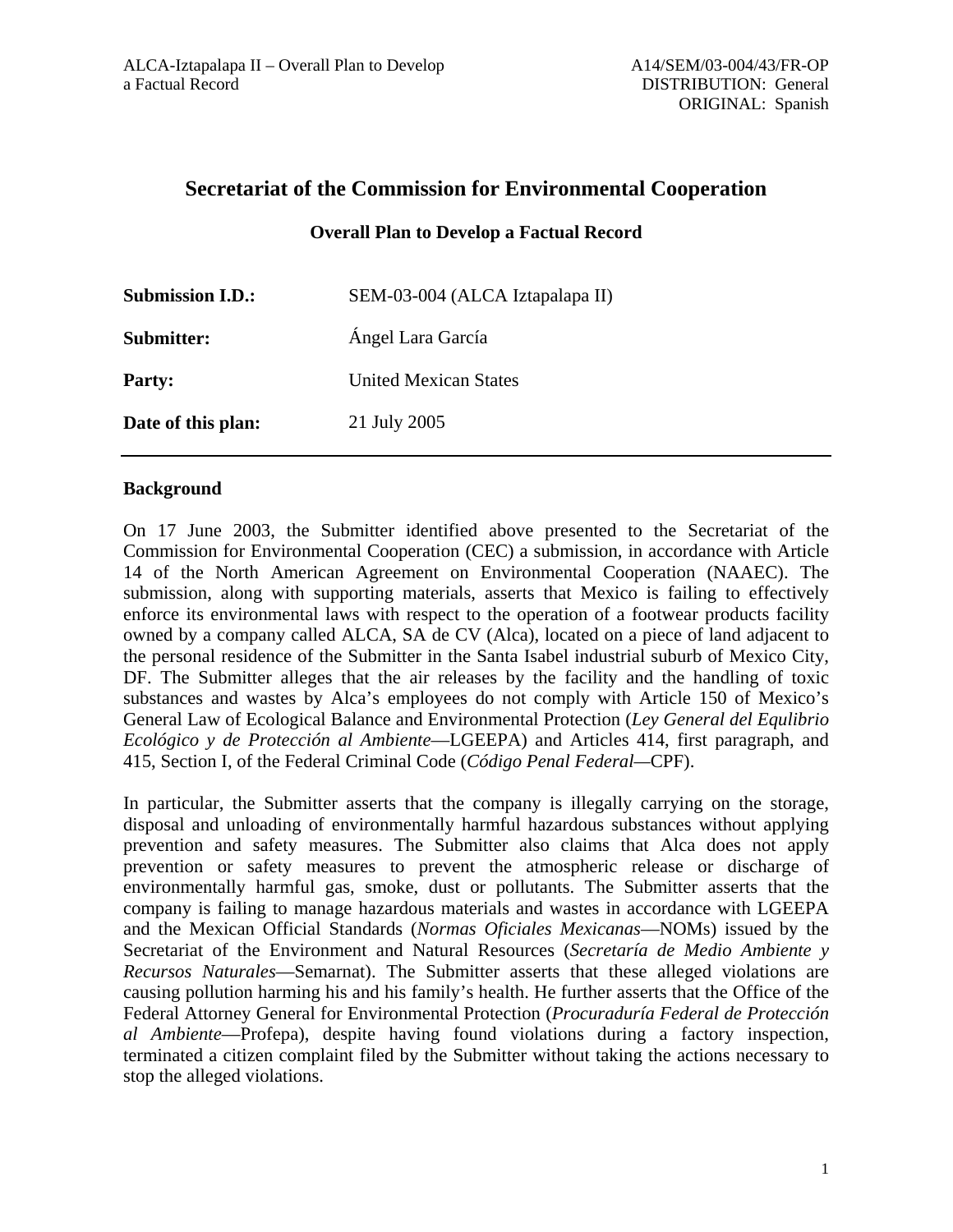# **Secretariat of the Commission for Environmental Cooperation**

**Overall Plan to Develop a Factual Record** 

| <b>Submission I.D.:</b> | SEM-03-004 (ALCA Iztapalapa II) |
|-------------------------|---------------------------------|
| Submitter:              | Ángel Lara García               |
| <b>Party:</b>           | United Mexican States           |
| Date of this plan:      | 21 July 2005                    |

#### **Background**

On 17 June 2003, the Submitter identified above presented to the Secretariat of the Commission for Environmental Cooperation (CEC) a submission, in accordance with Article 14 of the North American Agreement on Environmental Cooperation (NAAEC). The submission, along with supporting materials, asserts that Mexico is failing to effectively enforce its environmental laws with respect to the operation of a footwear products facility owned by a company called ALCA, SA de CV (Alca), located on a piece of land adjacent to the personal residence of the Submitter in the Santa Isabel industrial suburb of Mexico City, DF. The Submitter alleges that the air releases by the facility and the handling of toxic substances and wastes by Alca's employees do not comply with Article 150 of Mexico's General Law of Ecological Balance and Environmental Protection (*Ley General del Equlibrio Ecológico y de Protección al Ambiente*—LGEEPA) and Articles 414, first paragraph, and 415, Section I, of the Federal Criminal Code (*Código Penal Federal—*CPF).

In particular, the Submitter asserts that the company is illegally carrying on the storage, disposal and unloading of environmentally harmful hazardous substances without applying prevention and safety measures. The Submitter also claims that Alca does not apply prevention or safety measures to prevent the atmospheric release or discharge of environmentally harmful gas, smoke, dust or pollutants. The Submitter asserts that the company is failing to manage hazardous materials and wastes in accordance with LGEEPA and the Mexican Official Standards (*Normas Oficiales Mexicanas*—NOMs) issued by the Secretariat of the Environment and Natural Resources (*Secretaría de Medio Ambiente y Recursos Naturales*—Semarnat). The Submitter asserts that these alleged violations are causing pollution harming his and his family's health. He further asserts that the Office of the Federal Attorney General for Environmental Protection (*Procuraduría Federal de Protección al Ambiente*—Profepa), despite having found violations during a factory inspection, terminated a citizen complaint filed by the Submitter without taking the actions necessary to stop the alleged violations.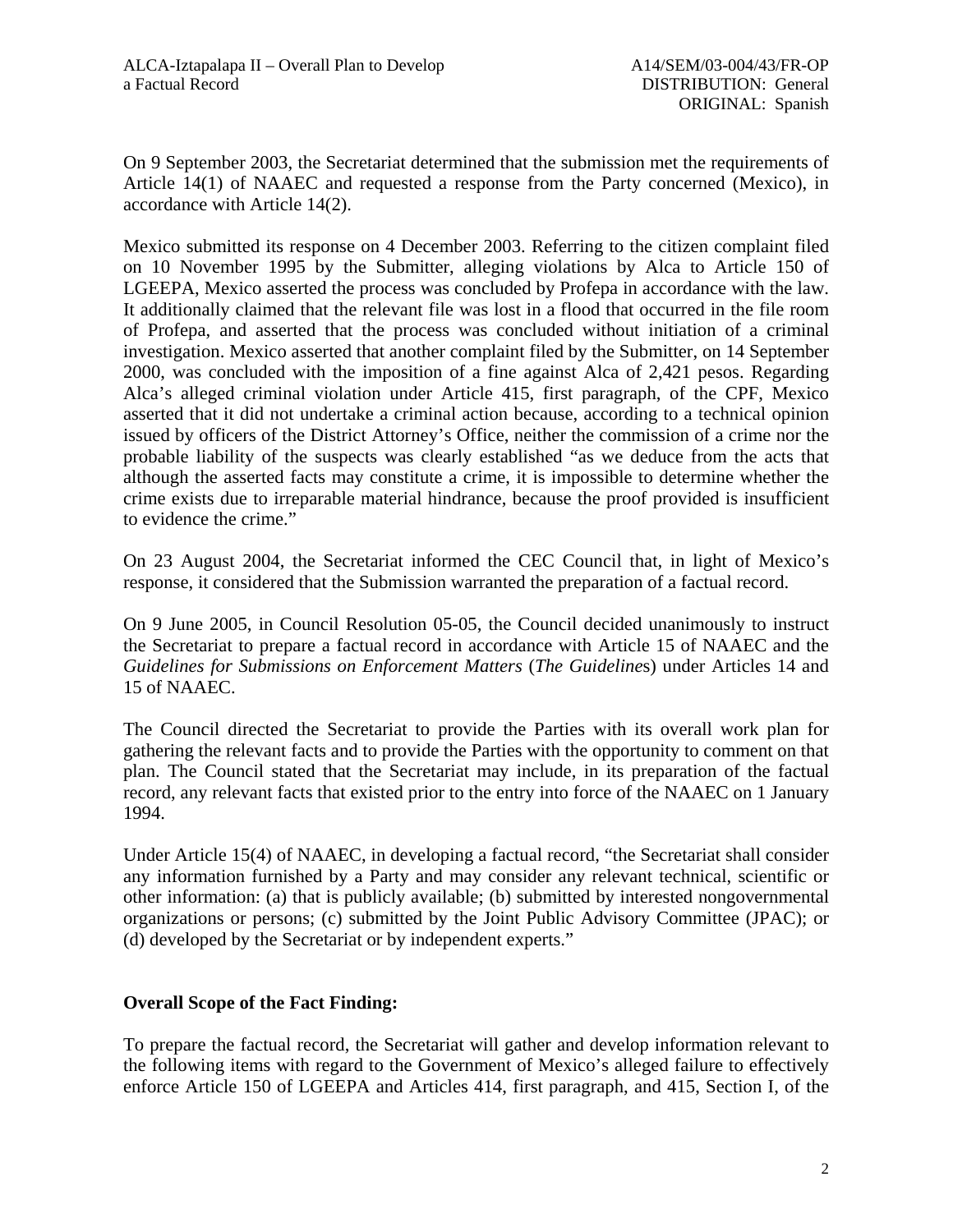On 9 September 2003, the Secretariat determined that the submission met the requirements of Article 14(1) of NAAEC and requested a response from the Party concerned (Mexico), in accordance with Article 14(2).

Mexico submitted its response on 4 December 2003. Referring to the citizen complaint filed on 10 November 1995 by the Submitter, alleging violations by Alca to Article 150 of LGEEPA, Mexico asserted the process was concluded by Profepa in accordance with the law. It additionally claimed that the relevant file was lost in a flood that occurred in the file room of Profepa, and asserted that the process was concluded without initiation of a criminal investigation. Mexico asserted that another complaint filed by the Submitter, on 14 September 2000, was concluded with the imposition of a fine against Alca of 2,421 pesos. Regarding Alca's alleged criminal violation under Article 415, first paragraph, of the CPF, Mexico asserted that it did not undertake a criminal action because, according to a technical opinion issued by officers of the District Attorney's Office, neither the commission of a crime nor the probable liability of the suspects was clearly established "as we deduce from the acts that although the asserted facts may constitute a crime, it is impossible to determine whether the crime exists due to irreparable material hindrance, because the proof provided is insufficient to evidence the crime."

On 23 August 2004, the Secretariat informed the CEC Council that, in light of Mexico's response, it considered that the Submission warranted the preparation of a factual record.

On 9 June 2005, in Council Resolution 05-05, the Council decided unanimously to instruct the Secretariat to prepare a factual record in accordance with Article 15 of NAAEC and the *Guidelines for Submissions on Enforcement Matters* (*The Guideline*s) under Articles 14 and 15 of NAAEC.

The Council directed the Secretariat to provide the Parties with its overall work plan for gathering the relevant facts and to provide the Parties with the opportunity to comment on that plan. The Council stated that the Secretariat may include, in its preparation of the factual record, any relevant facts that existed prior to the entry into force of the NAAEC on 1 January 1994.

Under Article 15(4) of NAAEC, in developing a factual record, "the Secretariat shall consider any information furnished by a Party and may consider any relevant technical, scientific or other information: (a) that is publicly available; (b) submitted by interested nongovernmental organizations or persons; (c) submitted by the Joint Public Advisory Committee (JPAC); or (d) developed by the Secretariat or by independent experts."

## **Overall Scope of the Fact Finding:**

To prepare the factual record, the Secretariat will gather and develop information relevant to the following items with regard to the Government of Mexico's alleged failure to effectively enforce Article 150 of LGEEPA and Articles 414, first paragraph, and 415, Section I, of the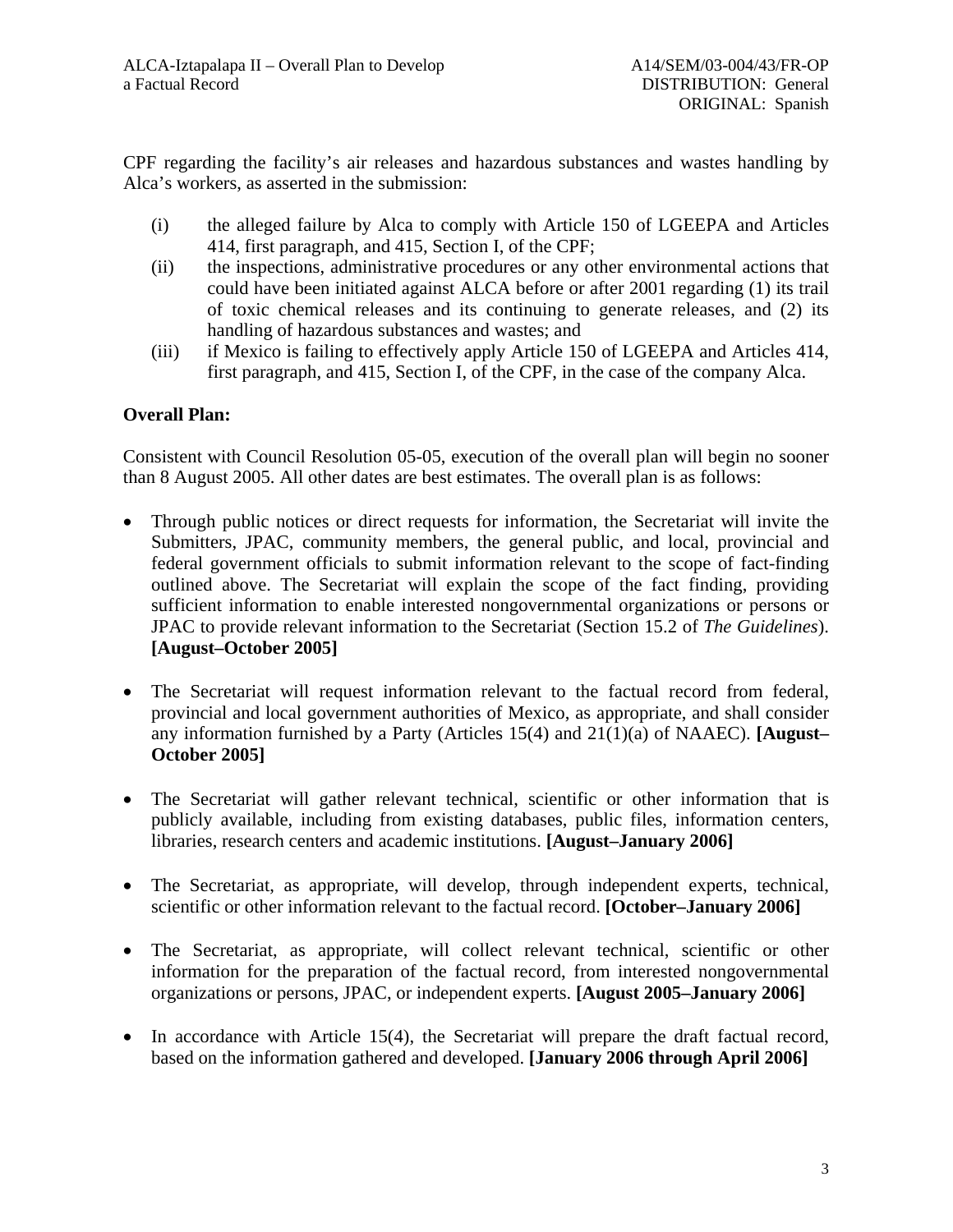CPF regarding the facility's air releases and hazardous substances and wastes handling by Alca's workers, as asserted in the submission:

- (i) the alleged failure by Alca to comply with Article 150 of LGEEPA and Articles 414, first paragraph, and 415, Section I, of the CPF;
- (ii) the inspections, administrative procedures or any other environmental actions that could have been initiated against ALCA before or after 2001 regarding (1) its trail of toxic chemical releases and its continuing to generate releases, and (2) its handling of hazardous substances and wastes; and
- (iii) if Mexico is failing to effectively apply Article 150 of LGEEPA and Articles 414, first paragraph, and 415, Section I, of the CPF, in the case of the company Alca.

## **Overall Plan:**

Consistent with Council Resolution 05-05, execution of the overall plan will begin no sooner than 8 August 2005. All other dates are best estimates. The overall plan is as follows:

- Through public notices or direct requests for information, the Secretariat will invite the Submitters, JPAC, community members, the general public, and local, provincial and federal government officials to submit information relevant to the scope of fact-finding outlined above. The Secretariat will explain the scope of the fact finding, providing sufficient information to enable interested nongovernmental organizations or persons or JPAC to provide relevant information to the Secretariat (Section 15.2 of *The Guidelines*). **[August–October 2005]**
- The Secretariat will request information relevant to the factual record from federal, provincial and local government authorities of Mexico, as appropriate, and shall consider any information furnished by a Party (Articles 15(4) and 21(1)(a) of NAAEC). **[August– October 2005]**
- The Secretariat will gather relevant technical, scientific or other information that is publicly available, including from existing databases, public files, information centers, libraries, research centers and academic institutions. **[August–January 2006]**
- The Secretariat, as appropriate, will develop, through independent experts, technical, scientific or other information relevant to the factual record. **[October–January 2006]**
- The Secretariat, as appropriate, will collect relevant technical, scientific or other information for the preparation of the factual record, from interested nongovernmental organizations or persons, JPAC, or independent experts. **[August 2005–January 2006]**
- In accordance with Article 15(4), the Secretariat will prepare the draft factual record, based on the information gathered and developed. **[January 2006 through April 2006]**